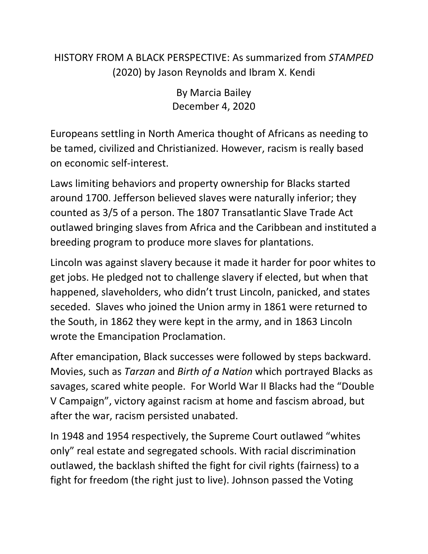## HISTORY FROM A BLACK PERSPECTIVE: As summarized from *STAMPED* (2020) by Jason Reynolds and Ibram X. Kendi

By Marcia Bailey December 4, 2020

Europeans settling in North America thought of Africans as needing to be tamed, civilized and Christianized. However, racism is really based on economic self-interest.

Laws limiting behaviors and property ownership for Blacks started around 1700. Jefferson believed slaves were naturally inferior; they counted as 3/5 of a person. The 1807 Transatlantic Slave Trade Act outlawed bringing slaves from Africa and the Caribbean and instituted a breeding program to produce more slaves for plantations.

Lincoln was against slavery because it made it harder for poor whites to get jobs. He pledged not to challenge slavery if elected, but when that happened, slaveholders, who didn't trust Lincoln, panicked, and states seceded. Slaves who joined the Union army in 1861 were returned to the South, in 1862 they were kept in the army, and in 1863 Lincoln wrote the Emancipation Proclamation.

After emancipation, Black successes were followed by steps backward. Movies, such as *Tarzan* and *Birth of a Nation* which portrayed Blacks as savages, scared white people. For World War II Blacks had the "Double V Campaign", victory against racism at home and fascism abroad, but after the war, racism persisted unabated.

In 1948 and 1954 respectively, the Supreme Court outlawed "whites only" real estate and segregated schools. With racial discrimination outlawed, the backlash shifted the fight for civil rights (fairness) to a fight for freedom (the right just to live). Johnson passed the Voting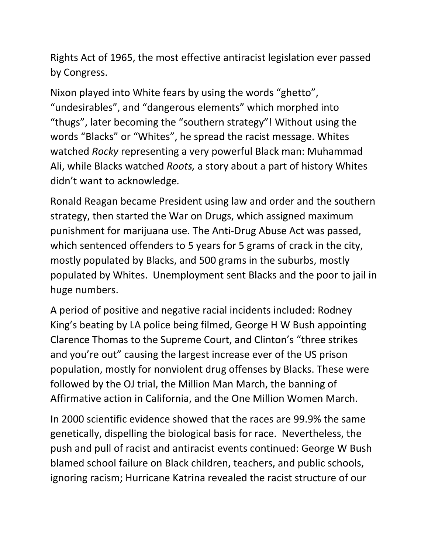Rights Act of 1965, the most effective antiracist legislation ever passed by Congress.

Nixon played into White fears by using the words "ghetto", "undesirables", and "dangerous elements" which morphed into "thugs", later becoming the "southern strategy"! Without using the words "Blacks" or "Whites", he spread the racist message. Whites watched *Rocky* representing a very powerful Black man: Muhammad Ali, while Blacks watched *Roots,* a story about a part of history Whites didn't want to acknowledge*.*

Ronald Reagan became President using law and order and the southern strategy, then started the War on Drugs, which assigned maximum punishment for marijuana use. The Anti-Drug Abuse Act was passed, which sentenced offenders to 5 years for 5 grams of crack in the city, mostly populated by Blacks, and 500 grams in the suburbs, mostly populated by Whites. Unemployment sent Blacks and the poor to jail in huge numbers.

A period of positive and negative racial incidents included: Rodney King's beating by LA police being filmed, George H W Bush appointing Clarence Thomas to the Supreme Court, and Clinton's "three strikes and you're out" causing the largest increase ever of the US prison population, mostly for nonviolent drug offenses by Blacks. These were followed by the OJ trial, the Million Man March, the banning of Affirmative action in California, and the One Million Women March.

In 2000 scientific evidence showed that the races are 99.9% the same genetically, dispelling the biological basis for race. Nevertheless, the push and pull of racist and antiracist events continued: George W Bush blamed school failure on Black children, teachers, and public schools, ignoring racism; Hurricane Katrina revealed the racist structure of our